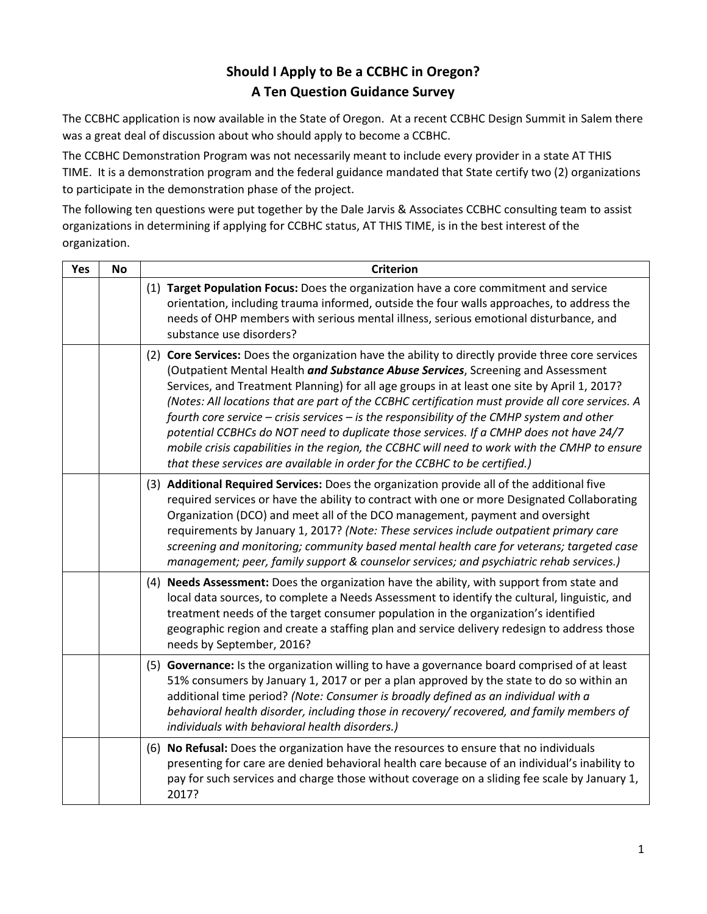## **Should I Apply to Be a CCBHC in Oregon? A Ten Question Guidance Survey**

The CCBHC application is now available in the State of Oregon. At a recent CCBHC Design Summit in Salem there was a great deal of discussion about who should apply to become a CCBHC.

The CCBHC Demonstration Program was not necessarily meant to include every provider in a state AT THIS TIME. It is a demonstration program and the federal guidance mandated that State certify two (2) organizations to participate in the demonstration phase of the project.

The following ten questions were put together by the Dale Jarvis & Associates CCBHC consulting team to assist organizations in determining if applying for CCBHC status, AT THIS TIME, is in the best interest of the organization.

| Yes | <b>No</b> | <b>Criterion</b>                                                                                                                                                                                                                                                                                                                                                                                                                                                                                                                                                                                                                                                                                                                                                    |
|-----|-----------|---------------------------------------------------------------------------------------------------------------------------------------------------------------------------------------------------------------------------------------------------------------------------------------------------------------------------------------------------------------------------------------------------------------------------------------------------------------------------------------------------------------------------------------------------------------------------------------------------------------------------------------------------------------------------------------------------------------------------------------------------------------------|
|     |           | (1) Target Population Focus: Does the organization have a core commitment and service<br>orientation, including trauma informed, outside the four walls approaches, to address the<br>needs of OHP members with serious mental illness, serious emotional disturbance, and<br>substance use disorders?                                                                                                                                                                                                                                                                                                                                                                                                                                                              |
|     |           | (2) Core Services: Does the organization have the ability to directly provide three core services<br>(Outpatient Mental Health and Substance Abuse Services, Screening and Assessment<br>Services, and Treatment Planning) for all age groups in at least one site by April 1, 2017?<br>(Notes: All locations that are part of the CCBHC certification must provide all core services. A<br>fourth core service $-$ crisis services $-$ is the responsibility of the CMHP system and other<br>potential CCBHCs do NOT need to duplicate those services. If a CMHP does not have 24/7<br>mobile crisis capabilities in the region, the CCBHC will need to work with the CMHP to ensure<br>that these services are available in order for the CCBHC to be certified.) |
|     |           | (3) Additional Required Services: Does the organization provide all of the additional five<br>required services or have the ability to contract with one or more Designated Collaborating<br>Organization (DCO) and meet all of the DCO management, payment and oversight<br>requirements by January 1, 2017? (Note: These services include outpatient primary care<br>screening and monitoring; community based mental health care for veterans; targeted case<br>management; peer, family support & counselor services; and psychiatric rehab services.)                                                                                                                                                                                                          |
|     |           | (4) Needs Assessment: Does the organization have the ability, with support from state and<br>local data sources, to complete a Needs Assessment to identify the cultural, linguistic, and<br>treatment needs of the target consumer population in the organization's identified<br>geographic region and create a staffing plan and service delivery redesign to address those<br>needs by September, 2016?                                                                                                                                                                                                                                                                                                                                                         |
|     |           | (5) Governance: Is the organization willing to have a governance board comprised of at least<br>51% consumers by January 1, 2017 or per a plan approved by the state to do so within an<br>additional time period? (Note: Consumer is broadly defined as an individual with a<br>behavioral health disorder, including those in recovery/ recovered, and family members of<br>individuals with behavioral health disorders.)                                                                                                                                                                                                                                                                                                                                        |
|     |           | (6) No Refusal: Does the organization have the resources to ensure that no individuals<br>presenting for care are denied behavioral health care because of an individual's inability to<br>pay for such services and charge those without coverage on a sliding fee scale by January 1,<br>2017?                                                                                                                                                                                                                                                                                                                                                                                                                                                                    |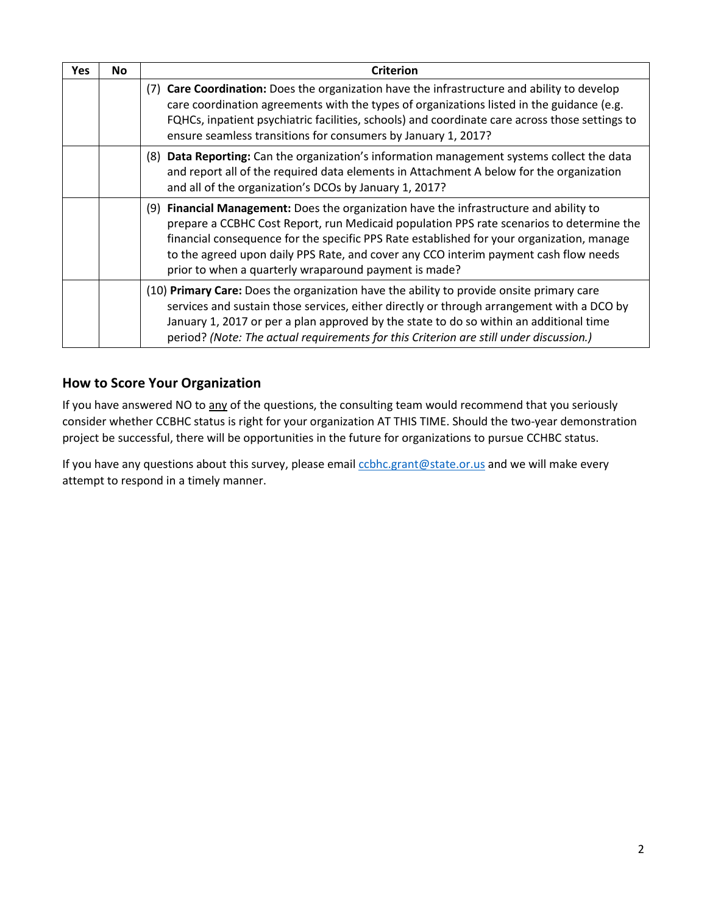| Yes | <b>No</b> | <b>Criterion</b>                                                                                                                                                                                                                                                                                                                                                                                                                 |  |
|-----|-----------|----------------------------------------------------------------------------------------------------------------------------------------------------------------------------------------------------------------------------------------------------------------------------------------------------------------------------------------------------------------------------------------------------------------------------------|--|
|     |           | (7) Care Coordination: Does the organization have the infrastructure and ability to develop<br>care coordination agreements with the types of organizations listed in the guidance (e.g.<br>FQHCs, inpatient psychiatric facilities, schools) and coordinate care across those settings to<br>ensure seamless transitions for consumers by January 1, 2017?                                                                      |  |
|     |           | (8) Data Reporting: Can the organization's information management systems collect the data<br>and report all of the required data elements in Attachment A below for the organization<br>and all of the organization's DCOs by January 1, 2017?                                                                                                                                                                                  |  |
|     |           | (9) Financial Management: Does the organization have the infrastructure and ability to<br>prepare a CCBHC Cost Report, run Medicaid population PPS rate scenarios to determine the<br>financial consequence for the specific PPS Rate established for your organization, manage<br>to the agreed upon daily PPS Rate, and cover any CCO interim payment cash flow needs<br>prior to when a quarterly wraparound payment is made? |  |
|     |           | (10) Primary Care: Does the organization have the ability to provide onsite primary care<br>services and sustain those services, either directly or through arrangement with a DCO by<br>January 1, 2017 or per a plan approved by the state to do so within an additional time<br>period? (Note: The actual requirements for this Criterion are still under discussion.)                                                        |  |

## **How to Score Your Organization**

If you have answered NO to any of the questions, the consulting team would recommend that you seriously consider whether CCBHC status is right for your organization AT THIS TIME. Should the two-year demonstration project be successful, there will be opportunities in the future for organizations to pursue CCHBC status.

If you have any questions about this survey, please email cobhc.grant@state.or.us and we will make every attempt to respond in a timely manner.